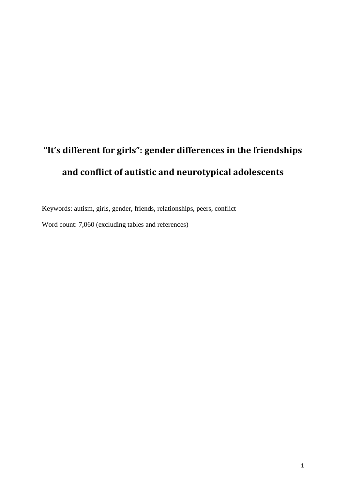# **"It's different for girls": gender differences in the friendships and conflict of autistic and neurotypical adolescents**

Keywords: autism, girls, gender, friends, relationships, peers, conflict Word count: 7,060 (excluding tables and references)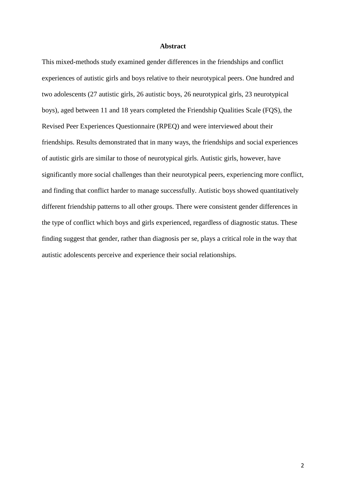#### **Abstract**

This mixed-methods study examined gender differences in the friendships and conflict experiences of autistic girls and boys relative to their neurotypical peers. One hundred and two adolescents (27 autistic girls, 26 autistic boys, 26 neurotypical girls, 23 neurotypical boys), aged between 11 and 18 years completed the Friendship Qualities Scale (FQS), the Revised Peer Experiences Questionnaire (RPEQ) and were interviewed about their friendships. Results demonstrated that in many ways, the friendships and social experiences of autistic girls are similar to those of neurotypical girls. Autistic girls, however, have significantly more social challenges than their neurotypical peers, experiencing more conflict, and finding that conflict harder to manage successfully. Autistic boys showed quantitatively different friendship patterns to all other groups. There were consistent gender differences in the type of conflict which boys and girls experienced, regardless of diagnostic status. These finding suggest that gender, rather than diagnosis per se, plays a critical role in the way that autistic adolescents perceive and experience their social relationships.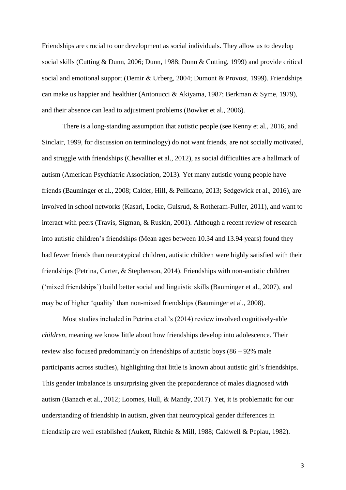Friendships are crucial to our development as social individuals. They allow us to develop social skills (Cutting & Dunn, 2006; Dunn, 1988; Dunn & Cutting, 1999) and provide critical social and emotional support (Demir & Urberg, 2004; Dumont & Provost, 1999). Friendships can make us happier and healthier (Antonucci & Akiyama, 1987; Berkman & Syme, 1979), and their absence can lead to adjustment problems (Bowker et al., 2006).

There is a long-standing assumption that autistic people (see Kenny et al., 2016, and Sinclair, 1999, for discussion on terminology) do not want friends, are not socially motivated, and struggle with friendships (Chevallier et al., 2012), as social difficulties are a hallmark of autism (American Psychiatric Association, 2013). Yet many autistic young people have friends (Bauminger et al., 2008; Calder, Hill, & Pellicano, 2013; Sedgewick et al., 2016), are involved in school networks (Kasari, Locke, Gulsrud, & Rotheram-Fuller, 2011), and want to interact with peers (Travis, Sigman, & Ruskin, 2001). Although a recent review of research into autistic children's friendships (Mean ages between 10.34 and 13.94 years) found they had fewer friends than neurotypical children, autistic children were highly satisfied with their friendships (Petrina, Carter, & Stephenson, 2014). Friendships with non-autistic children ('mixed friendships') build better social and linguistic skills (Bauminger et al., 2007), and may be of higher 'quality' than non-mixed friendships (Bauminger et al., 2008).

Most studies included in Petrina et al.'s (2014) review involved cognitively-able *children*, meaning we know little about how friendships develop into adolescence. Their review also focused predominantly on friendships of autistic boys (86 – 92% male participants across studies), highlighting that little is known about autistic girl's friendships. This gender imbalance is unsurprising given the preponderance of males diagnosed with autism (Banach et al., 2012; Loomes, Hull, & Mandy, 2017). Yet, it is problematic for our understanding of friendship in autism, given that neurotypical gender differences in friendship are well established (Aukett, Ritchie & Mill, 1988; Caldwell & Peplau, 1982).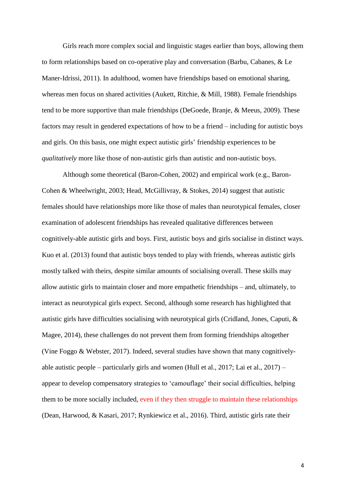Girls reach more complex social and linguistic stages earlier than boys, allowing them to form relationships based on co-operative play and conversation (Barbu, Cabanes, & Le Maner-Idrissi, 2011). In adulthood, women have friendships based on emotional sharing, whereas men focus on shared activities (Aukett, Ritchie, & Mill, 1988). Female friendships tend to be more supportive than male friendships (DeGoede, Branje, & Meeus, 2009). These factors may result in gendered expectations of how to be a friend – including for autistic boys and girls. On this basis, one might expect autistic girls' friendship experiences to be *qualitatively* more like those of non-autistic girls than autistic and non-autistic boys.

Although some theoretical (Baron-Cohen, 2002) and empirical work (e.g., Baron-Cohen & Wheelwright, 2003; Head, McGillivray, & Stokes, 2014) suggest that autistic females should have relationships more like those of males than neurotypical females, closer examination of adolescent friendships has revealed qualitative differences between cognitively-able autistic girls and boys. First, autistic boys and girls socialise in distinct ways. Kuo et al. (2013) found that autistic boys tended to play with friends, whereas autistic girls mostly talked with theirs, despite similar amounts of socialising overall. These skills may allow autistic girls to maintain closer and more empathetic friendships – and, ultimately, to interact as neurotypical girls expect. Second, although some research has highlighted that autistic girls have difficulties socialising with neurotypical girls (Cridland, Jones, Caputi, & Magee, 2014), these challenges do not prevent them from forming friendships altogether (Vine Foggo & Webster, 2017). Indeed, several studies have shown that many cognitivelyable autistic people – particularly girls and women (Hull et al., 2017; Lai et al., 2017) – appear to develop compensatory strategies to 'camouflage' their social difficulties, helping them to be more socially included, even if they then struggle to maintain these relationships (Dean, Harwood, & Kasari, 2017; Rynkiewicz et al., 2016). Third, autistic girls rate their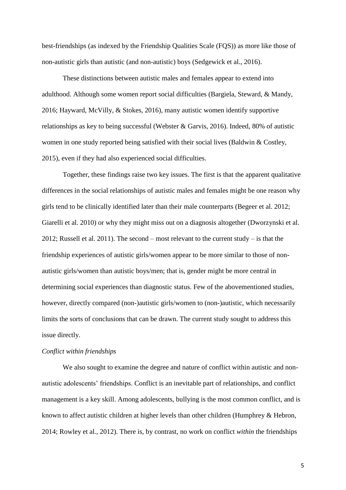best-friendships (as indexed by the Friendship Qualities Scale (FQS)) as more like those of non-autistic girls than autistic (and non-autistic) boys (Sedgewick et al., 2016).

These distinctions between autistic males and females appear to extend into adulthood. Although some women report social difficulties (Bargiela, Steward, & Mandy, 2016; Hayward, McVilly, & Stokes, 2016), many autistic women identify supportive relationships as key to being successful (Webster & Garvis, 2016). Indeed, 80% of autistic women in one study reported being satisfied with their social lives (Baldwin & Costley, 2015), even if they had also experienced social difficulties.

Together, these findings raise two key issues. The first is that the apparent qualitative differences in the social relationships of autistic males and females might be one reason why girls tend to be clinically identified later than their male counterparts (Begeer et al. 2012; Giarelli et al. 2010) or why they might miss out on a diagnosis altogether (Dworzynski et al. 2012; Russell et al. 2011). The second – most relevant to the current study – is that the friendship experiences of autistic girls/women appear to be more similar to those of nonautistic girls/women than autistic boys/men; that is, gender might be more central in determining social experiences than diagnostic status. Few of the abovementioned studies, however, directly compared (non-)autistic girls/women to (non-)autistic, which necessarily limits the sorts of conclusions that can be drawn. The current study sought to address this issue directly.

#### *Conflict within friendships*

We also sought to examine the degree and nature of conflict within autistic and nonautistic adolescents' friendships. Conflict is an inevitable part of relationships, and conflict management is a key skill. Among adolescents, bullying is the most common conflict, and is known to affect autistic children at higher levels than other children (Humphrey & Hebron, 2014; Rowley et al., 2012). There is, by contrast, no work on conflict *within* the friendships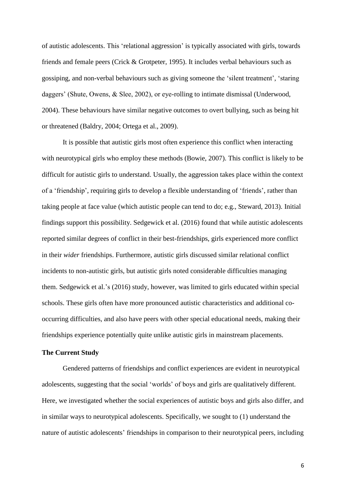of autistic adolescents. This 'relational aggression' is typically associated with girls, towards friends and female peers (Crick & Grotpeter, 1995). It includes verbal behaviours such as gossiping, and non-verbal behaviours such as giving someone the 'silent treatment', 'staring daggers' (Shute, Owens, & Slee, 2002), or eye-rolling to intimate dismissal (Underwood, 2004). These behaviours have similar negative outcomes to overt bullying, such as being hit or threatened (Baldry, 2004; Ortega et al., 2009).

It is possible that autistic girls most often experience this conflict when interacting with neurotypical girls who employ these methods (Bowie, 2007). This conflict is likely to be difficult for autistic girls to understand. Usually, the aggression takes place within the context of a 'friendship', requiring girls to develop a flexible understanding of 'friends', rather than taking people at face value (which autistic people can tend to do; e.g., Steward, 2013). Initial findings support this possibility. Sedgewick et al. (2016) found that while autistic adolescents reported similar degrees of conflict in their best-friendships, girls experienced more conflict in their *wider* friendships. Furthermore, autistic girls discussed similar relational conflict incidents to non-autistic girls, but autistic girls noted considerable difficulties managing them. Sedgewick et al.'s (2016) study, however, was limited to girls educated within special schools. These girls often have more pronounced autistic characteristics and additional cooccurring difficulties, and also have peers with other special educational needs, making their friendships experience potentially quite unlike autistic girls in mainstream placements.

#### **The Current Study**

Gendered patterns of friendships and conflict experiences are evident in neurotypical adolescents, suggesting that the social 'worlds' of boys and girls are qualitatively different. Here, we investigated whether the social experiences of autistic boys and girls also differ, and in similar ways to neurotypical adolescents. Specifically, we sought to (1) understand the nature of autistic adolescents' friendships in comparison to their neurotypical peers, including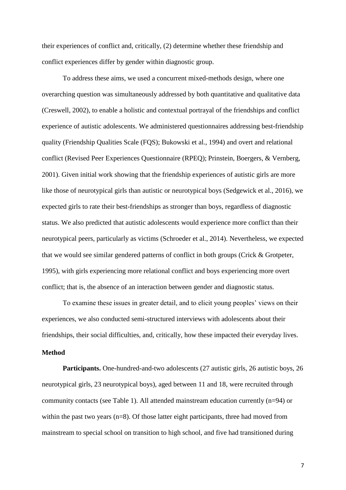their experiences of conflict and, critically, (2) determine whether these friendship and conflict experiences differ by gender within diagnostic group.

To address these aims, we used a concurrent mixed-methods design, where one overarching question was simultaneously addressed by both quantitative and qualitative data (Creswell, 2002), to enable a holistic and contextual portrayal of the friendships and conflict experience of autistic adolescents. We administered questionnaires addressing best-friendship quality (Friendship Qualities Scale (FQS); Bukowski et al., 1994) and overt and relational conflict (Revised Peer Experiences Questionnaire (RPEQ); Prinstein, Boergers, & Vernberg, 2001). Given initial work showing that the friendship experiences of autistic girls are more like those of neurotypical girls than autistic or neurotypical boys (Sedgewick et al., 2016), we expected girls to rate their best-friendships as stronger than boys, regardless of diagnostic status. We also predicted that autistic adolescents would experience more conflict than their neurotypical peers, particularly as victims (Schroeder et al., 2014). Nevertheless, we expected that we would see similar gendered patterns of conflict in both groups (Crick & Grotpeter, 1995), with girls experiencing more relational conflict and boys experiencing more overt conflict; that is, the absence of an interaction between gender and diagnostic status.

To examine these issues in greater detail, and to elicit young peoples' views on their experiences, we also conducted semi-structured interviews with adolescents about their friendships, their social difficulties, and, critically, how these impacted their everyday lives.

## **Method**

Participants. One-hundred-and-two adolescents (27 autistic girls, 26 autistic boys, 26 neurotypical girls, 23 neurotypical boys), aged between 11 and 18, were recruited through community contacts (see Table 1). All attended mainstream education currently (n=94) or within the past two years (n=8). Of those latter eight participants, three had moved from mainstream to special school on transition to high school, and five had transitioned during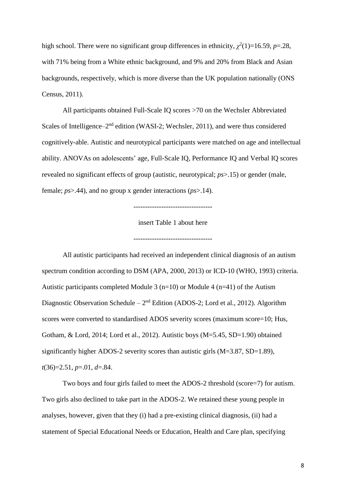high school. There were no significant group differences in ethnicity,  $\chi^2(1)=16.59$ ,  $p=.28$ , with 71% being from a White ethnic background, and 9% and 20% from Black and Asian backgrounds, respectively, which is more diverse than the UK population nationally (ONS Census, 2011).

All participants obtained Full-Scale IQ scores >70 on the Wechsler Abbreviated Scales of Intelligence-2<sup>nd</sup> edition (WASI-2; Wechsler, 2011), and were thus considered cognitively-able. Autistic and neurotypical participants were matched on age and intellectual ability. ANOVAs on adolescents' age, Full-Scale IQ, Performance IQ and Verbal IQ scores revealed no significant effects of group (autistic, neurotypical; *ps*>.15) or gender (male, female; *ps*>.44), and no group x gender interactions (*ps*>.14).

----------------------------------

insert Table 1 about here

----------------------------------

All autistic participants had received an independent clinical diagnosis of an autism spectrum condition according to DSM (APA, 2000, 2013) or ICD-10 (WHO, 1993) criteria. Autistic participants completed Module 3 (n=10) or Module 4 (n=41) of the Autism Diagnostic Observation Schedule  $-2<sup>nd</sup>$  Edition (ADOS-2; Lord et al., 2012). Algorithm scores were converted to standardised ADOS severity scores (maximum score=10; Hus, Gotham, & Lord, 2014; Lord et al., 2012). Autistic boys (M=5.45, SD=1.90) obtained significantly higher ADOS-2 severity scores than autistic girls (M=3.87, SD=1.89), *t*(36)=2.51, *p*=.01, *d*=.84.

Two boys and four girls failed to meet the ADOS-2 threshold (score=7) for autism. Two girls also declined to take part in the ADOS-2. We retained these young people in analyses, however, given that they (i) had a pre-existing clinical diagnosis, (ii) had a statement of Special Educational Needs or Education, Health and Care plan, specifying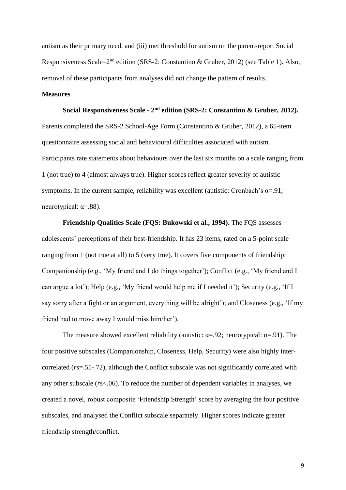autism as their primary need, and (iii) met threshold for autism on the parent-report Social Responsiveness Scale–2<sup>nd</sup> edition (SRS-2: Constantino & Gruber, 2012) (see Table 1). Also, removal of these participants from analyses did not change the pattern of results.

# **Measures**

## Social Responsiveness Scale - 2<sup>nd</sup> edition (SRS-2: Constantino & Gruber, 2012).

Parents completed the SRS-2 School-Age Form (Constantino & Gruber, 2012), a 65-item questionnaire assessing social and behavioural difficulties associated with autism. Participants rate statements about behaviours over the last six months on a scale ranging from 1 (not true) to 4 (almost always true). Higher scores reflect greater severity of autistic symptoms. In the current sample, reliability was excellent (autistic: Cronbach's  $\alpha = .91$ ; neurotypical:  $\alpha = .88$ ).

**Friendship Qualities Scale (FQS: Bukowski et al., 1994).** The FQS assesses adolescents' perceptions of their best-friendship. It has 23 items, rated on a 5-point scale ranging from 1 (not true at all) to 5 (very true). It covers five components of friendship: Companionship (e.g., 'My friend and I do things together'); Conflict (e.g., 'My friend and I can argue a lot'); Help (e.g., 'My friend would help me if I needed it'); Security (e.g., 'If I say sorry after a fight or an argument, everything will be alright'); and Closeness (e.g., 'If my friend had to move away I would miss him/her').

The measure showed excellent reliability (autistic:  $\alpha = .92$ ; neurotypical:  $\alpha = .91$ ). The four positive subscales (Companionship, Closeness, Help, Security) were also highly intercorrelated (*r*s=.55-.72), although the Conflict subscale was not significantly correlated with any other subscale (*r*s<.06). To reduce the number of dependent variables in analyses, we created a novel, robust composite 'Friendship Strength' score by averaging the four positive subscales, and analysed the Conflict subscale separately. Higher scores indicate greater friendship strength/conflict.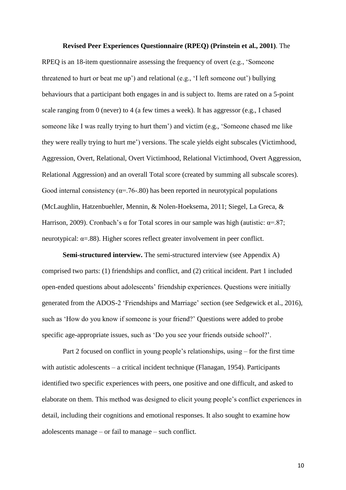#### **Revised Peer Experiences Questionnaire (RPEQ) (Prinstein et al., 2001)**. The

RPEQ is an 18-item questionnaire assessing the frequency of overt (e.g., 'Someone threatened to hurt or beat me up') and relational (e.g., 'I left someone out') bullying behaviours that a participant both engages in and is subject to. Items are rated on a 5-point scale ranging from 0 (never) to 4 (a few times a week). It has aggressor (e.g., I chased someone like I was really trying to hurt them') and victim (e.g., 'Someone chased me like they were really trying to hurt me') versions. The scale yields eight subscales (Victimhood, Aggression, Overt, Relational, Overt Victimhood, Relational Victimhood, Overt Aggression, Relational Aggression) and an overall Total score (created by summing all subscale scores). Good internal consistency ( $\alpha$ =.76-.80) has been reported in neurotypical populations (McLaughlin, Hatzenbuehler, Mennin, & Nolen-Hoeksema, 2011; Siegel, La Greca, & Harrison, 2009). Cronbach's  $\alpha$  for Total scores in our sample was high (autistic:  $\alpha = .87$ ; neurotypical:  $\alpha = .88$ ). Higher scores reflect greater involvement in peer conflict.

**Semi-structured interview.** The semi-structured interview (see Appendix A) comprised two parts: (1) friendships and conflict, and (2) critical incident. Part 1 included open-ended questions about adolescents' friendship experiences. Questions were initially generated from the ADOS-2 'Friendships and Marriage' section (see Sedgewick et al., 2016), such as 'How do you know if someone is your friend?' Questions were added to probe specific age-appropriate issues, such as 'Do you see your friends outside school?'.

Part 2 focused on conflict in young people's relationships, using – for the first time with autistic adolescents – a critical incident technique (Flanagan, 1954). Participants identified two specific experiences with peers, one positive and one difficult, and asked to elaborate on them. This method was designed to elicit young people's conflict experiences in detail, including their cognitions and emotional responses. It also sought to examine how adolescents manage – or fail to manage – such conflict.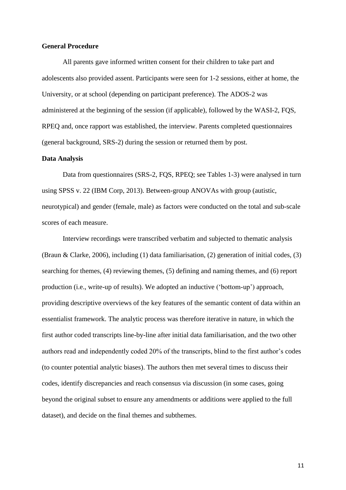#### **General Procedure**

All parents gave informed written consent for their children to take part and adolescents also provided assent. Participants were seen for 1-2 sessions, either at home, the University, or at school (depending on participant preference). The ADOS-2 was administered at the beginning of the session (if applicable), followed by the WASI-2, FQS, RPEQ and, once rapport was established, the interview. Parents completed questionnaires (general background, SRS-2) during the session or returned them by post.

#### **Data Analysis**

Data from questionnaires (SRS-2, FQS, RPEQ; see Tables 1-3) were analysed in turn using SPSS v. 22 (IBM Corp, 2013). Between-group ANOVAs with group (autistic, neurotypical) and gender (female, male) as factors were conducted on the total and sub-scale scores of each measure.

Interview recordings were transcribed verbatim and subjected to thematic analysis (Braun & Clarke, 2006), including (1) data familiarisation, (2) generation of initial codes, (3) searching for themes, (4) reviewing themes, (5) defining and naming themes, and (6) report production (i.e., write-up of results). We adopted an inductive ('bottom-up') approach, providing descriptive overviews of the key features of the semantic content of data within an essentialist framework. The analytic process was therefore iterative in nature, in which the first author coded transcripts line-by-line after initial data familiarisation, and the two other authors read and independently coded 20% of the transcripts, blind to the first author's codes (to counter potential analytic biases). The authors then met several times to discuss their codes, identify discrepancies and reach consensus via discussion (in some cases, going beyond the original subset to ensure any amendments or additions were applied to the full dataset), and decide on the final themes and subthemes.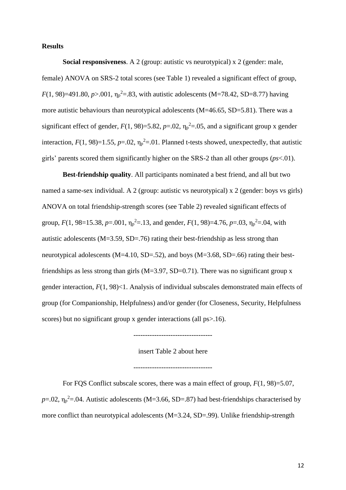#### **Results**

**Social responsiveness.** A 2 (group: autistic vs neurotypical) x 2 (gender: male, female) ANOVA on SRS-2 total scores (see Table 1) revealed a significant effect of group, *F*(1, 98)=491.80, *p*>.001,  $\eta_p^2 = 0.83$ , with autistic adolescents (M=78.42, SD=8.77) having more autistic behaviours than neurotypical adolescents (M=46.65, SD=5.81). There was a significant effect of gender,  $F(1, 98)=5.82$ ,  $p=.02$ ,  $\eta_p^2=.05$ , and a significant group x gender interaction,  $F(1, 98)=1.55$ ,  $p=.02$ ,  $\eta_p^2=.01$ . Planned t-tests showed, unexpectedly, that autistic girls' parents scored them significantly higher on the SRS-2 than all other groups (*ps*<.01).

**Best-friendship quality**. All participants nominated a best friend, and all but two named a same-sex individual. A 2 (group: autistic vs neurotypical) x 2 (gender: boys vs girls) ANOVA on total friendship-strength scores (see Table 2) revealed significant effects of group,  $F(1, 98=15.38, p=.001, \eta_p^2=.13$ , and gender,  $F(1, 98)=4.76, p=.03, \eta_p^2=.04$ , with autistic adolescents (M=3.59, SD=.76) rating their best-friendship as less strong than neurotypical adolescents (M=4.10, SD=.52), and boys (M=3.68, SD=.66) rating their bestfriendships as less strong than girls  $(M=3.97, SD=0.71)$ . There was no significant group x gender interaction, *F*(1, 98)<1. Analysis of individual subscales demonstrated main effects of group (for Companionship, Helpfulness) and/or gender (for Closeness, Security, Helpfulness scores) but no significant group x gender interactions (all ps>.16).

insert Table 2 about here

----------------------------------

For FQS Conflict subscale scores, there was a main effect of group, *F*(1, 98)=5.07,  $p=0.02$ ,  $\eta_p^2=0.04$ . Autistic adolescents (M=3.66, SD=.87) had best-friendships characterised by more conflict than neurotypical adolescents (M=3.24, SD=.99). Unlike friendship-strength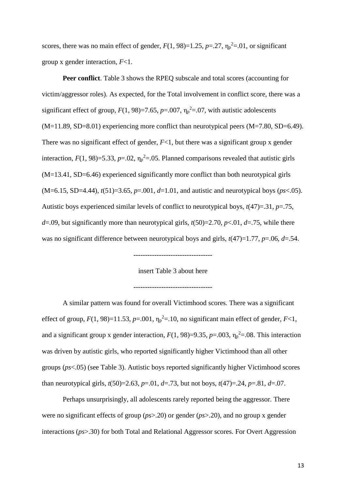scores, there was no main effect of gender,  $F(1, 98)=1.25$ ,  $p=.27$ ,  $\eta_p^2=.01$ , or significant group x gender interaction, *F*<1.

**Peer conflict**. Table 3 shows the RPEQ subscale and total scores (accounting for victim/aggressor roles). As expected, for the Total involvement in conflict score, there was a significant effect of group,  $F(1, 98)=7.65$ ,  $p=.007$ ,  $\eta_p^2=.07$ , with autistic adolescents (M=11.89, SD=8.01) experiencing more conflict than neurotypical peers (M=7.80, SD=6.49). There was no significant effect of gender, *F*<1, but there was a significant group x gender interaction,  $F(1, 98)=5.33$ ,  $p=.02$ ,  $\eta_p^2=.05$ . Planned comparisons revealed that autistic girls (M=13.41, SD=6.46) experienced significantly more conflict than both neurotypical girls (M=6.15, SD=4.44), *t*(51)=3.65, *p*=.001, *d*=1.01, and autistic and neurotypical boys (*ps*<.05). Autistic boys experienced similar levels of conflict to neurotypical boys, *t*(47)=.31, *p*=.75, *d*=.09, but significantly more than neurotypical girls,  $t(50)=2.70$ ,  $p<.01$ , *d*=.75, while there was no significant difference between neurotypical boys and girls,  $t(47)=1.77$ ,  $p=.06$ ,  $d=.54$ .

insert Table 3 about here

----------------------------------

A similar pattern was found for overall Victimhood scores. There was a significant effect of group,  $F(1, 98)=11.53$ ,  $p=.001$ ,  $\eta_p^2=.10$ , no significant main effect of gender,  $F<1$ , and a significant group x gender interaction,  $F(1, 98)=9.35$ ,  $p=.003$ ,  $\eta_p^2=.08$ . This interaction was driven by autistic girls, who reported significantly higher Victimhood than all other groups (*ps*<.05) (see Table 3). Autistic boys reported significantly higher Victimhood scores than neurotypical girls,  $t(50)=2.63$ ,  $p=.01$ ,  $d=.73$ , but not boys,  $t(47)=.24$ ,  $p=.81$ ,  $d=.07$ .

Perhaps unsurprisingly, all adolescents rarely reported being the aggressor. There were no significant effects of group (*ps*>.20) or gender (*ps*>.20), and no group x gender interactions (*ps*>.30) for both Total and Relational Aggressor scores. For Overt Aggression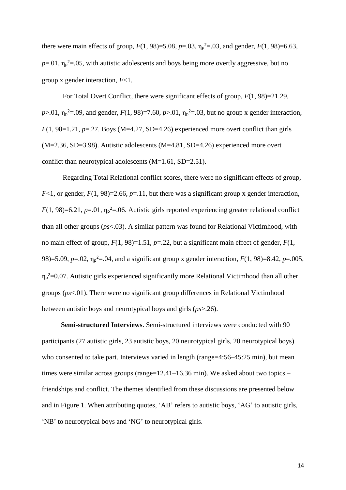there were main effects of group,  $F(1, 98)=5.08$ ,  $p=.03$ ,  $\eta_p^2=.03$ , and gender,  $F(1, 98)=6.63$ ,  $p=0.01$ ,  $\eta_p^2=0.05$ , with autistic adolescents and boys being more overtly aggressive, but no group x gender interaction, *F*<1.

For Total Overt Conflict, there were significant effects of group, *F*(1, 98)=21.29,  $p > 0.01$ ,  $\eta_p^2 = 0.09$ , and gender,  $F(1, 98) = 7.60$ ,  $p > 0.01$ ,  $\eta_p^2 = 0.03$ , but no group x gender interaction,  $F(1, 98=1.21, p=.27$ . Boys (M=4.27, SD=4.26) experienced more overt conflict than girls  $(M=2.36, SD=3.98)$ . Autistic adolescents  $(M=4.81, SD=4.26)$  experienced more overt conflict than neurotypical adolescents (M=1.61, SD=2.51).

Regarding Total Relational conflict scores, there were no significant effects of group, *F*<1, or gender, *F*(1, 98)=2.66, *p*=.11, but there was a significant group x gender interaction,  $F(1, 98)=6.21$ ,  $p=.01$ ,  $\eta_p^2=.06$ . Autistic girls reported experiencing greater relational conflict than all other groups (*ps*<.03). A similar pattern was found for Relational Victimhood, with no main effect of group,  $F(1, 98)=1.51$ ,  $p=.22$ , but a significant main effect of gender,  $F(1, 98)=1.51$ ,  $p=.22$ , but a significant main effect of gender,  $F(1, 98)=1.51$ 98)=5.09,  $p=0.02$ ,  $\eta_p^2=0.04$ , and a significant group x gender interaction,  $F(1, 98)=8.42$ ,  $p=.005$ ,  $\eta_p^2$ =0.07. Autistic girls experienced significantly more Relational Victimhood than all other groups (*ps*<.01). There were no significant group differences in Relational Victimhood between autistic boys and neurotypical boys and girls (*ps*>.26).

 **Semi-structured Interviews**. Semi-structured interviews were conducted with 90 participants (27 autistic girls, 23 autistic boys, 20 neurotypical girls, 20 neurotypical boys) who consented to take part. Interviews varied in length (range=4:56–45:25 min), but mean times were similar across groups (range=12.41–16.36 min). We asked about two topics – friendships and conflict. The themes identified from these discussions are presented below and in Figure 1. When attributing quotes, 'AB' refers to autistic boys, 'AG' to autistic girls, 'NB' to neurotypical boys and 'NG' to neurotypical girls.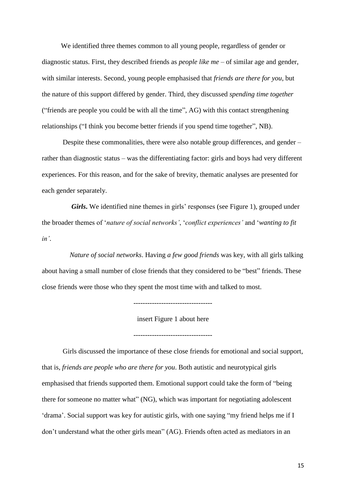We identified three themes common to all young people, regardless of gender or diagnostic status. First, they described friends as *people like me* – of similar age and gender, with similar interests. Second, young people emphasised that *friends are there for you*, but the nature of this support differed by gender. Third, they discussed *spending time together* ("friends are people you could be with all the time", AG) with this contact strengthening relationships ("I think you become better friends if you spend time together", NB).

 Despite these commonalities, there were also notable group differences, and gender – rather than diagnostic status – was the differentiating factor: girls and boys had very different experiences. For this reason, and for the sake of brevity, thematic analyses are presented for each gender separately.

Girls. We identified nine themes in girls' responses (see Figure 1), grouped under the broader themes of '*nature of social networks'*, '*conflict experiences'* and '*wanting to fit in'*.

 *Nature of social networks*. Having *a few good friends* was key, with all girls talking about having a small number of close friends that they considered to be "best" friends. These close friends were those who they spent the most time with and talked to most.

insert Figure 1 about here

----------------------------------

----------------------------------

Girls discussed the importance of these close friends for emotional and social support, that is, *friends are people who are there for you*. Both autistic and neurotypical girls emphasised that friends supported them. Emotional support could take the form of "being there for someone no matter what" (NG), which was important for negotiating adolescent 'drama'. Social support was key for autistic girls, with one saying "my friend helps me if I don't understand what the other girls mean" (AG). Friends often acted as mediators in an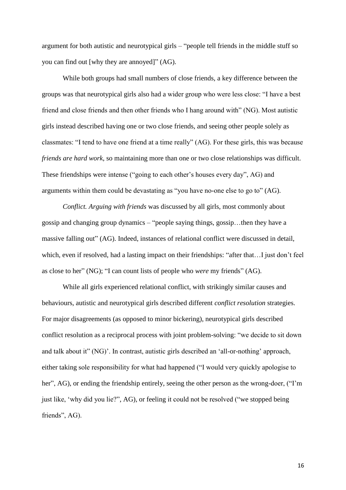argument for both autistic and neurotypical girls – "people tell friends in the middle stuff so you can find out [why they are annoyed]" (AG).

While both groups had small numbers of close friends, a key difference between the groups was that neurotypical girls also had a wider group who were less close: "I have a best friend and close friends and then other friends who I hang around with" (NG). Most autistic girls instead described having one or two close friends, and seeing other people solely as classmates: "I tend to have one friend at a time really" (AG). For these girls, this was because *friends are hard work*, so maintaining more than one or two close relationships was difficult. These friendships were intense ("going to each other's houses every day", AG) and arguments within them could be devastating as "you have no-one else to go to" (AG).

*Conflict. Arguing with friends* was discussed by all girls, most commonly about gossip and changing group dynamics – "people saying things, gossip…then they have a massive falling out" (AG). Indeed, instances of relational conflict were discussed in detail, which, even if resolved, had a lasting impact on their friendships: "after that…I just don't feel as close to her" (NG); "I can count lists of people who *were* my friends" (AG).

While all girls experienced relational conflict, with strikingly similar causes and behaviours, autistic and neurotypical girls described different *conflict resolution* strategies. For major disagreements (as opposed to minor bickering), neurotypical girls described conflict resolution as a reciprocal process with joint problem-solving: "we decide to sit down and talk about it" (NG)'. In contrast, autistic girls described an 'all-or-nothing' approach, either taking sole responsibility for what had happened ("I would very quickly apologise to her", AG), or ending the friendship entirely, seeing the other person as the wrong-doer, ("I'm just like, 'why did you lie?", AG), or feeling it could not be resolved ("we stopped being friends", AG).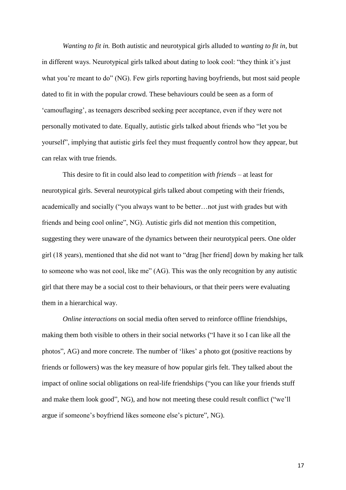*Wanting to fit in.* Both autistic and neurotypical girls alluded to *wanting to fit in*, but in different ways. Neurotypical girls talked about dating to look cool: "they think it's just what you're meant to do" (NG). Few girls reporting having boyfriends, but most said people dated to fit in with the popular crowd. These behaviours could be seen as a form of 'camouflaging', as teenagers described seeking peer acceptance, even if they were not personally motivated to date. Equally, autistic girls talked about friends who "let you be yourself", implying that autistic girls feel they must frequently control how they appear, but can relax with true friends.

This desire to fit in could also lead to *competition with friends* – at least for neurotypical girls. Several neurotypical girls talked about competing with their friends, academically and socially ("you always want to be better…not just with grades but with friends and being cool online", NG). Autistic girls did not mention this competition, suggesting they were unaware of the dynamics between their neurotypical peers. One older girl (18 years), mentioned that she did not want to "drag [her friend] down by making her talk to someone who was not cool, like me" (AG). This was the only recognition by any autistic girl that there may be a social cost to their behaviours, or that their peers were evaluating them in a hierarchical way.

*Online interactions* on social media often served to reinforce offline friendships, making them both visible to others in their social networks ("I have it so I can like all the photos", AG) and more concrete. The number of 'likes' a photo got (positive reactions by friends or followers) was the key measure of how popular girls felt. They talked about the impact of online social obligations on real-life friendships ("you can like your friends stuff and make them look good", NG), and how not meeting these could result conflict ("we'll argue if someone's boyfriend likes someone else's picture", NG).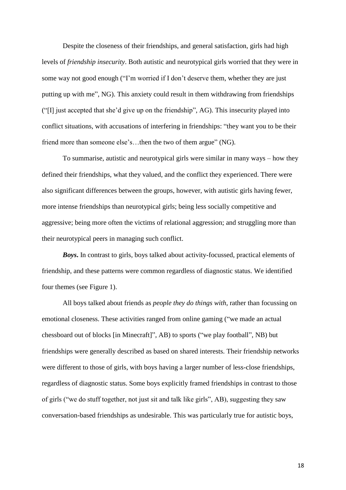Despite the closeness of their friendships, and general satisfaction, girls had high levels of *friendship insecurity*. Both autistic and neurotypical girls worried that they were in some way not good enough ("I'm worried if I don't deserve them, whether they are just putting up with me", NG). This anxiety could result in them withdrawing from friendships ("[I] just accepted that she'd give up on the friendship", AG). This insecurity played into conflict situations, with accusations of interfering in friendships: "they want you to be their friend more than someone else's...then the two of them argue" (NG).

To summarise, autistic and neurotypical girls were similar in many ways – how they defined their friendships, what they valued, and the conflict they experienced. There were also significant differences between the groups, however, with autistic girls having fewer, more intense friendships than neurotypical girls; being less socially competitive and aggressive; being more often the victims of relational aggression; and struggling more than their neurotypical peers in managing such conflict.

*Boys***.** In contrast to girls, boys talked about activity-focussed, practical elements of friendship, and these patterns were common regardless of diagnostic status. We identified four themes (see Figure 1).

All boys talked about friends as *people they do things with*, rather than focussing on emotional closeness. These activities ranged from online gaming ("we made an actual chessboard out of blocks [in Minecraft]", AB) to sports ("we play football", NB) but friendships were generally described as based on shared interests. Their friendship networks were different to those of girls, with boys having a larger number of less-close friendships, regardless of diagnostic status. Some boys explicitly framed friendships in contrast to those of girls ("we do stuff together, not just sit and talk like girls", AB), suggesting they saw conversation-based friendships as undesirable. This was particularly true for autistic boys,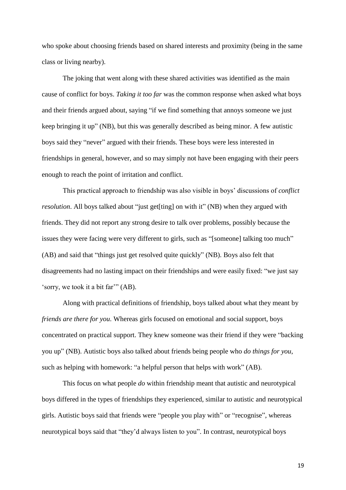who spoke about choosing friends based on shared interests and proximity (being in the same class or living nearby).

The joking that went along with these shared activities was identified as the main cause of conflict for boys. *Taking it too far* was the common response when asked what boys and their friends argued about, saying "if we find something that annoys someone we just keep bringing it up" (NB), but this was generally described as being minor. A few autistic boys said they "never" argued with their friends. These boys were less interested in friendships in general, however, and so may simply not have been engaging with their peers enough to reach the point of irritation and conflict.

This practical approach to friendship was also visible in boys' discussions of *conflict resolution*. All boys talked about "just get[ting] on with it" (NB) when they argued with friends. They did not report any strong desire to talk over problems, possibly because the issues they were facing were very different to girls, such as "[someone] talking too much" (AB) and said that "things just get resolved quite quickly" (NB). Boys also felt that disagreements had no lasting impact on their friendships and were easily fixed: "we just say 'sorry, we took it a bit far'" (AB).

Along with practical definitions of friendship, boys talked about what they meant by *friends are there for you*. Whereas girls focused on emotional and social support, boys concentrated on practical support. They knew someone was their friend if they were "backing you up" (NB). Autistic boys also talked about friends being people who *do things for you*, such as helping with homework: "a helpful person that helps with work" (AB).

This focus on what people *do* within friendship meant that autistic and neurotypical boys differed in the types of friendships they experienced, similar to autistic and neurotypical girls. Autistic boys said that friends were "people you play with" or "recognise", whereas neurotypical boys said that "they'd always listen to you". In contrast, neurotypical boys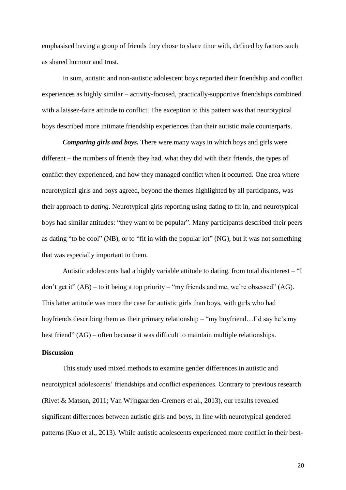emphasised having a group of friends they chose to share time with, defined by factors such as shared humour and trust.

In sum, autistic and non-autistic adolescent boys reported their friendship and conflict experiences as highly similar – activity-focused, practically-supportive friendships combined with a laissez-faire attitude to conflict. The exception to this pattern was that neurotypical boys described more intimate friendship experiences than their autistic male counterparts.

*Comparing girls and boys***.** There were many ways in which boys and girls were different – the numbers of friends they had, what they did with their friends, the types of conflict they experienced, and how they managed conflict when it occurred. One area where neurotypical girls and boys agreed, beyond the themes highlighted by all participants, was their approach to *dating*. Neurotypical girls reporting using dating to fit in, and neurotypical boys had similar attitudes: "they want to be popular". Many participants described their peers as dating "to be cool" (NB), or to "fit in with the popular lot" (NG), but it was not something that was especially important to them.

Autistic adolescents had a highly variable attitude to dating, from total disinterest – "I don't get it" (AB) – to it being a top priority – "my friends and me, we're obsessed" (AG). This latter attitude was more the case for autistic girls than boys, with girls who had boyfriends describing them as their primary relationship – "my boyfriend…I'd say he's my best friend" (AG) – often because it was difficult to maintain multiple relationships.

#### **Discussion**

This study used mixed methods to examine gender differences in autistic and neurotypical adolescents' friendships and conflict experiences. Contrary to previous research (Rivet & Matson, 2011; Van Wijngaarden-Cremers et al., 2013), our results revealed significant differences between autistic girls and boys, in line with neurotypical gendered patterns (Kuo et al., 2013). While autistic adolescents experienced more conflict in their best-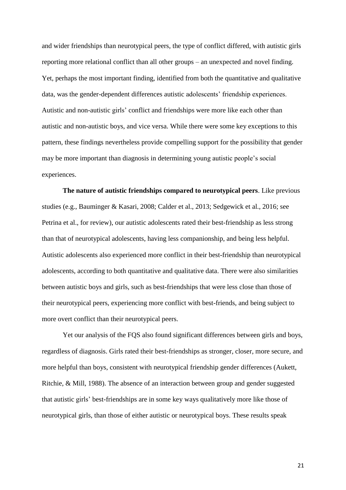and wider friendships than neurotypical peers, the type of conflict differed, with autistic girls reporting more relational conflict than all other groups – an unexpected and novel finding. Yet, perhaps the most important finding, identified from both the quantitative and qualitative data, was the gender-dependent differences autistic adolescents' friendship experiences. Autistic and non-autistic girls' conflict and friendships were more like each other than autistic and non-autistic boys, and vice versa. While there were some key exceptions to this pattern, these findings nevertheless provide compelling support for the possibility that gender may be more important than diagnosis in determining young autistic people's social experiences.

 **The nature of autistic friendships compared to neurotypical peers**. Like previous studies (e.g., Bauminger & Kasari, 2008; Calder et al., 2013; Sedgewick et al., 2016; see Petrina et al., for review), our autistic adolescents rated their best-friendship as less strong than that of neurotypical adolescents, having less companionship, and being less helpful. Autistic adolescents also experienced more conflict in their best-friendship than neurotypical adolescents, according to both quantitative and qualitative data. There were also similarities between autistic boys and girls, such as best-friendships that were less close than those of their neurotypical peers, experiencing more conflict with best-friends, and being subject to more overt conflict than their neurotypical peers.

Yet our analysis of the FQS also found significant differences between girls and boys, regardless of diagnosis. Girls rated their best-friendships as stronger, closer, more secure, and more helpful than boys, consistent with neurotypical friendship gender differences (Aukett, Ritchie, & Mill, 1988). The absence of an interaction between group and gender suggested that autistic girls' best-friendships are in some key ways qualitatively more like those of neurotypical girls, than those of either autistic or neurotypical boys. These results speak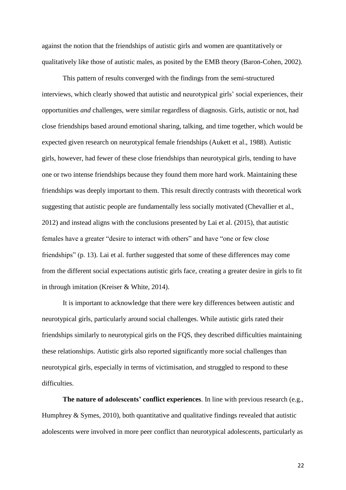against the notion that the friendships of autistic girls and women are quantitatively or qualitatively like those of autistic males, as posited by the EMB theory (Baron-Cohen, 2002).

This pattern of results converged with the findings from the semi-structured interviews, which clearly showed that autistic and neurotypical girls' social experiences, their opportunities *and* challenges, were similar regardless of diagnosis. Girls, autistic or not, had close friendships based around emotional sharing, talking, and time together, which would be expected given research on neurotypical female friendships (Aukett et al., 1988). Autistic girls, however, had fewer of these close friendships than neurotypical girls, tending to have one or two intense friendships because they found them more hard work. Maintaining these friendships was deeply important to them. This result directly contrasts with theoretical work suggesting that autistic people are fundamentally less socially motivated (Chevallier et al., 2012) and instead aligns with the conclusions presented by Lai et al. (2015), that autistic females have a greater "desire to interact with others" and have "one or few close friendships" (p. 13). Lai et al. further suggested that some of these differences may come from the different social expectations autistic girls face, creating a greater desire in girls to fit in through imitation (Kreiser & White, 2014).

It is important to acknowledge that there were key differences between autistic and neurotypical girls, particularly around social challenges. While autistic girls rated their friendships similarly to neurotypical girls on the FQS, they described difficulties maintaining these relationships. Autistic girls also reported significantly more social challenges than neurotypical girls, especially in terms of victimisation, and struggled to respond to these difficulties.

 **The nature of adolescents' conflict experiences**. In line with previous research (e.g., Humphrey & Symes, 2010), both quantitative and qualitative findings revealed that autistic adolescents were involved in more peer conflict than neurotypical adolescents, particularly as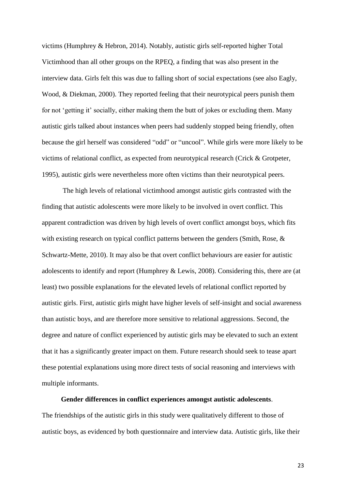victims (Humphrey & Hebron, 2014). Notably, autistic girls self-reported higher Total Victimhood than all other groups on the RPEQ, a finding that was also present in the interview data. Girls felt this was due to falling short of social expectations (see also Eagly, Wood, & Diekman, 2000). They reported feeling that their neurotypical peers punish them for not 'getting it' socially, either making them the butt of jokes or excluding them. Many autistic girls talked about instances when peers had suddenly stopped being friendly, often because the girl herself was considered "odd" or "uncool". While girls were more likely to be victims of relational conflict, as expected from neurotypical research (Crick & Grotpeter, 1995), autistic girls were nevertheless more often victims than their neurotypical peers.

The high levels of relational victimhood amongst autistic girls contrasted with the finding that autistic adolescents were more likely to be involved in overt conflict. This apparent contradiction was driven by high levels of overt conflict amongst boys, which fits with existing research on typical conflict patterns between the genders (Smith, Rose, & Schwartz-Mette, 2010). It may also be that overt conflict behaviours are easier for autistic adolescents to identify and report (Humphrey & Lewis, 2008). Considering this, there are (at least) two possible explanations for the elevated levels of relational conflict reported by autistic girls. First, autistic girls might have higher levels of self-insight and social awareness than autistic boys, and are therefore more sensitive to relational aggressions. Second, the degree and nature of conflict experienced by autistic girls may be elevated to such an extent that it has a significantly greater impact on them. Future research should seek to tease apart these potential explanations using more direct tests of social reasoning and interviews with multiple informants.

# **Gender differences in conflict experiences amongst autistic adolescents**.

The friendships of the autistic girls in this study were qualitatively different to those of autistic boys, as evidenced by both questionnaire and interview data. Autistic girls, like their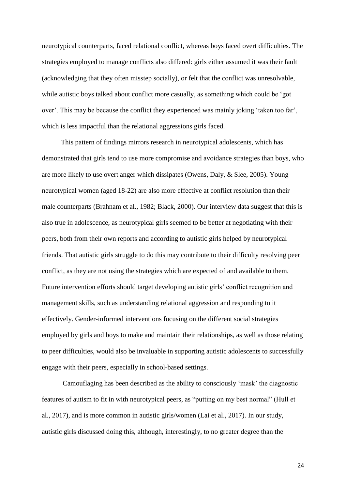neurotypical counterparts, faced relational conflict, whereas boys faced overt difficulties. The strategies employed to manage conflicts also differed: girls either assumed it was their fault (acknowledging that they often misstep socially), or felt that the conflict was unresolvable, while autistic boys talked about conflict more casually, as something which could be 'got over'. This may be because the conflict they experienced was mainly joking 'taken too far', which is less impactful than the relational aggressions girls faced.

 This pattern of findings mirrors research in neurotypical adolescents, which has demonstrated that girls tend to use more compromise and avoidance strategies than boys, who are more likely to use overt anger which dissipates (Owens, Daly, & Slee, 2005). Young neurotypical women (aged 18-22) are also more effective at conflict resolution than their male counterparts (Brahnam et al., 1982; Black, 2000). Our interview data suggest that this is also true in adolescence, as neurotypical girls seemed to be better at negotiating with their peers, both from their own reports and according to autistic girls helped by neurotypical friends. That autistic girls struggle to do this may contribute to their difficulty resolving peer conflict, as they are not using the strategies which are expected of and available to them. Future intervention efforts should target developing autistic girls' conflict recognition and management skills, such as understanding relational aggression and responding to it effectively. Gender-informed interventions focusing on the different social strategies employed by girls and boys to make and maintain their relationships, as well as those relating to peer difficulties, would also be invaluable in supporting autistic adolescents to successfully engage with their peers, especially in school-based settings.

Camouflaging has been described as the ability to consciously 'mask' the diagnostic features of autism to fit in with neurotypical peers, as "putting on my best normal" (Hull et al., 2017), and is more common in autistic girls/women (Lai et al., 2017). In our study, autistic girls discussed doing this, although, interestingly, to no greater degree than the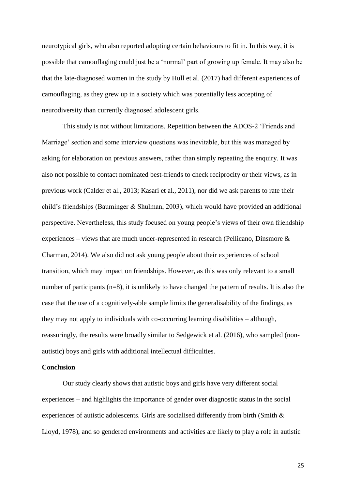neurotypical girls, who also reported adopting certain behaviours to fit in. In this way, it is possible that camouflaging could just be a 'normal' part of growing up female. It may also be that the late-diagnosed women in the study by Hull et al. (2017) had different experiences of camouflaging, as they grew up in a society which was potentially less accepting of neurodiversity than currently diagnosed adolescent girls.

This study is not without limitations. Repetition between the ADOS-2 'Friends and Marriage' section and some interview questions was inevitable, but this was managed by asking for elaboration on previous answers, rather than simply repeating the enquiry. It was also not possible to contact nominated best-friends to check reciprocity or their views, as in previous work (Calder et al., 2013; Kasari et al., 2011), nor did we ask parents to rate their child's friendships (Bauminger & Shulman, 2003), which would have provided an additional perspective. Nevertheless, this study focused on young people's views of their own friendship experiences – views that are much under-represented in research (Pellicano, Dinsmore & Charman, 2014). We also did not ask young people about their experiences of school transition, which may impact on friendships. However, as this was only relevant to a small number of participants (n=8), it is unlikely to have changed the pattern of results. It is also the case that the use of a cognitively-able sample limits the generalisability of the findings, as they may not apply to individuals with co-occurring learning disabilities – although, reassuringly, the results were broadly similar to Sedgewick et al. (2016), who sampled (nonautistic) boys and girls with additional intellectual difficulties.

# **Conclusion**

Our study clearly shows that autistic boys and girls have very different social experiences – and highlights the importance of gender over diagnostic status in the social experiences of autistic adolescents. Girls are socialised differently from birth (Smith & Lloyd, 1978), and so gendered environments and activities are likely to play a role in autistic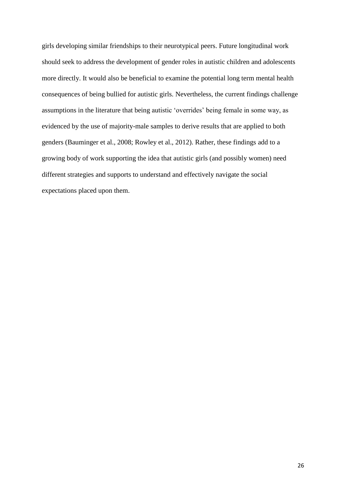girls developing similar friendships to their neurotypical peers. Future longitudinal work should seek to address the development of gender roles in autistic children and adolescents more directly. It would also be beneficial to examine the potential long term mental health consequences of being bullied for autistic girls. Nevertheless, the current findings challenge assumptions in the literature that being autistic 'overrides' being female in some way, as evidenced by the use of majority-male samples to derive results that are applied to both genders (Bauminger et al., 2008; Rowley et al., 2012). Rather, these findings add to a growing body of work supporting the idea that autistic girls (and possibly women) need different strategies and supports to understand and effectively navigate the social expectations placed upon them.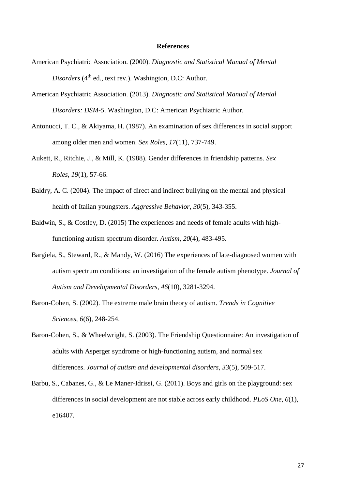#### **References**

- American Psychiatric Association. (2000). *Diagnostic and Statistical Manual of Mental Disorders* (4<sup>th</sup> ed., text rev.). Washington, D.C: Author.
- American Psychiatric Association. (2013). *Diagnostic and Statistical Manual of Mental Disorders: DSM-5*. Washington, D.C: American Psychiatric Author.
- Antonucci, T. C., & Akiyama, H. (1987). An examination of sex differences in social support among older men and women. *Sex Roles*, *17*(11), 737-749.
- Aukett, R., Ritchie, J., & Mill, K. (1988). Gender differences in friendship patterns. *Sex Roles*, *19*(1), 57-66.
- Baldry, A. C. (2004). The impact of direct and indirect bullying on the mental and physical health of Italian youngsters. *Aggressive Behavior*, *30*(5), 343-355.
- Baldwin, S., & Costley, D. (2015) The experiences and needs of female adults with highfunctioning autism spectrum disorder. *Autism, 20*(4), 483-495.
- Bargiela, S., Steward, R., & Mandy, W. (2016) The experiences of late-diagnosed women with autism spectrum conditions: an investigation of the female autism phenotype. *Journal of Autism and Developmental Disorders, 46*(10), 3281-3294.
- Baron-Cohen, S. (2002). The extreme male brain theory of autism. *Trends in Cognitive Sciences*, *6*(6), 248-254.
- Baron-Cohen, S., & Wheelwright, S. (2003). The Friendship Questionnaire: An investigation of adults with Asperger syndrome or high-functioning autism, and normal sex differences. *Journal of autism and developmental disorders*, *33*(5), 509-517.
- Barbu, S., Cabanes, G., & Le Maner-Idrissi, G. (2011). Boys and girls on the playground: sex differences in social development are not stable across early childhood. *PLoS One*, *6*(1), e16407.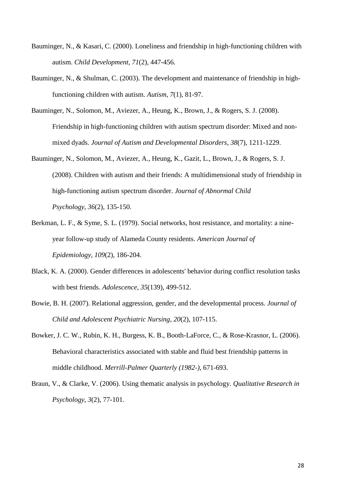- Bauminger, N., & Kasari, C. (2000). Loneliness and friendship in high-functioning children with autism. *Child Development*, *71*(2), 447-456.
- Bauminger, N., & Shulman, C. (2003). The development and maintenance of friendship in highfunctioning children with autism. *Autism, 7*(1), 81-97.
- Bauminger, N., Solomon, M., Aviezer, A., Heung, K., Brown, J., & Rogers, S. J. (2008). Friendship in high-functioning children with autism spectrum disorder: Mixed and nonmixed dyads. *Journal of Autism and Developmental Disorders*, *38*(7), 1211-1229.
- Bauminger, N., Solomon, M., Aviezer, A., Heung, K., Gazit, L., Brown, J., & Rogers, S. J. (2008). Children with autism and their friends: A multidimensional study of friendship in high-functioning autism spectrum disorder. *Journal of Abnormal Child Psychology*, *36*(2), 135-150.
- Berkman, L. F., & Syme, S. L. (1979). Social networks, host resistance, and mortality: a nineyear follow-up study of Alameda County residents. *American Journal of Epidemiology*, *109*(2), 186-204.
- Black, K. A. (2000). Gender differences in adolescents' behavior during conflict resolution tasks with best friends. *Adolescence*, *35*(139), 499-512.
- Bowie, B. H. (2007). Relational aggression, gender, and the developmental process. *Journal of Child and Adolescent Psychiatric Nursing*, *20*(2), 107-115.
- Bowker, J. C. W., Rubin, K. H., Burgess, K. B., Booth-LaForce, C., & Rose-Krasnor, L. (2006). Behavioral characteristics associated with stable and fluid best friendship patterns in middle childhood. *Merrill-Palmer Quarterly (1982-)*, 671-693.
- Braun, V., & Clarke, V. (2006). Using thematic analysis in psychology. *Qualitative Research in Psychology*, *3*(2), 77-101.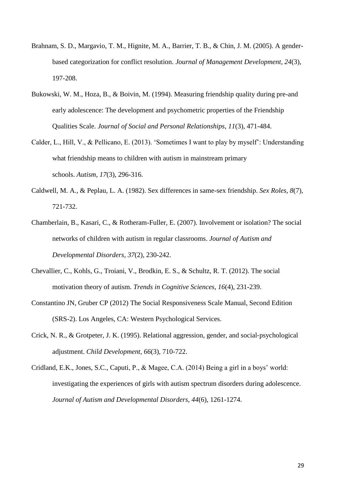- Brahnam, S. D., Margavio, T. M., Hignite, M. A., Barrier, T. B., & Chin, J. M. (2005). A genderbased categorization for conflict resolution. *Journal of Management Development*, *24*(3), 197-208.
- Bukowski, W. M., Hoza, B., & Boivin, M. (1994). Measuring friendship quality during pre-and early adolescence: The development and psychometric properties of the Friendship Qualities Scale. *Journal of Social and Personal Relationships*, *11*(3), 471-484.
- Calder, L., Hill, V., & Pellicano, E. (2013). 'Sometimes I want to play by myself': Understanding what friendship means to children with autism in mainstream primary schools. *Autism*, *17*(3), 296-316.
- Caldwell, M. A., & Peplau, L. A. (1982). Sex differences in same-sex friendship. *Sex Roles*, *8*(7), 721-732.
- Chamberlain, B., Kasari, C., & Rotheram-Fuller, E. (2007). Involvement or isolation? The social networks of children with autism in regular classrooms. *Journal of Autism and Developmental Disorders*, *37*(2), 230-242.
- Chevallier, C., Kohls, G., Troiani, V., Brodkin, E. S., & Schultz, R. T. (2012). The social motivation theory of autism. *Trends in Cognitive Sciences*, *16*(4), 231-239.
- Constantino JN, Gruber CP (2012) The Social Responsiveness Scale Manual, Second Edition (SRS-2). Los Angeles, CA: Western Psychological Services.
- Crick, N. R., & Grotpeter, J. K. (1995). Relational aggression, gender, and social‐psychological adjustment. *Child Development*, *66*(3), 710-722.
- Cridland, E.K., Jones, S.C., Caputi, P., & Magee, C.A. (2014) Being a girl in a boys' world: investigating the experiences of girls with autism spectrum disorders during adolescence. *Journal of Autism and Developmental Disorders, 44*(6), 1261-1274.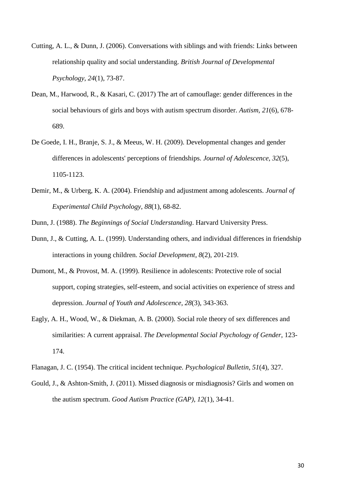- Cutting, A. L., & Dunn, J. (2006). Conversations with siblings and with friends: Links between relationship quality and social understanding. *British Journal of Developmental Psychology*, *24*(1), 73-87.
- Dean, M., Harwood, R., & Kasari, C. (2017) The art of camouflage: gender differences in the social behaviours of girls and boys with autism spectrum disorder. *Autism, 21*(6), 678- 689.
- De Goede, I. H., Branje, S. J., & Meeus, W. H. (2009). Developmental changes and gender differences in adolescents' perceptions of friendships. *Journal of Adolescence*, *32*(5), 1105-1123.
- Demir, M., & Urberg, K. A. (2004). Friendship and adjustment among adolescents. *Journal of Experimental Child Psychology*, *88*(1), 68-82.
- Dunn, J. (1988). *The Beginnings of Social Understanding*. Harvard University Press.
- Dunn, J., & Cutting, A. L. (1999). Understanding others, and individual differences in friendship interactions in young children. *Social Development*, *8*(2), 201-219.
- Dumont, M., & Provost, M. A. (1999). Resilience in adolescents: Protective role of social support, coping strategies, self-esteem, and social activities on experience of stress and depression. *Journal of Youth and Adolescence*, *28*(3), 343-363.
- Eagly, A. H., Wood, W., & Diekman, A. B. (2000). Social role theory of sex differences and similarities: A current appraisal. *The Developmental Social Psychology of Gender*, 123- 174.
- Flanagan, J. C. (1954). The critical incident technique. *Psychological Bulletin*, *51*(4), 327.
- Gould, J., & Ashton-Smith, J. (2011). Missed diagnosis or misdiagnosis? Girls and women on the autism spectrum. *Good Autism Practice (GAP)*, *12*(1), 34-41.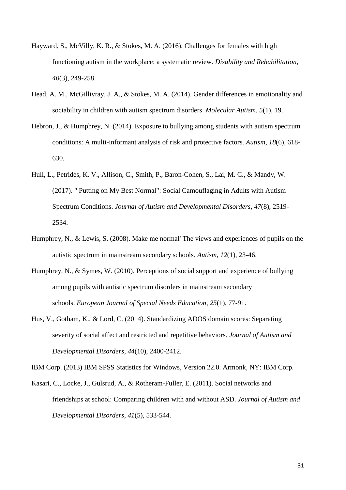- Hayward, S., McVilly, K. R., & Stokes, M. A. (2016). Challenges for females with high functioning autism in the workplace: a systematic review. *Disability and Rehabilitation, 40*(3), 249-258.
- Head, A. M., McGillivray, J. A., & Stokes, M. A. (2014). Gender differences in emotionality and sociability in children with autism spectrum disorders. *Molecular Autism*, *5*(1), 19.
- Hebron, J., & Humphrey, N. (2014). Exposure to bullying among students with autism spectrum conditions: A multi-informant analysis of risk and protective factors. *Autism*, *18*(6), 618- 630.
- Hull, L., Petrides, K. V., Allison, C., Smith, P., Baron-Cohen, S., Lai, M. C., & Mandy, W. (2017). " Putting on My Best Normal": Social Camouflaging in Adults with Autism Spectrum Conditions. *Journal of Autism and Developmental Disorders*, *47*(8), 2519- 2534.
- Humphrey, N., & Lewis, S. (2008). Make me normal' The views and experiences of pupils on the autistic spectrum in mainstream secondary schools. *Autism*, *12*(1), 23-46.
- Humphrey, N., & Symes, W. (2010). Perceptions of social support and experience of bullying among pupils with autistic spectrum disorders in mainstream secondary schools. *European Journal of Special Needs Education*, *25*(1), 77-91.
- Hus, V., Gotham, K., & Lord, C. (2014). Standardizing ADOS domain scores: Separating severity of social affect and restricted and repetitive behaviors. *Journal of Autism and Developmental Disorders*, *44*(10), 2400-2412.

IBM Corp. (2013) IBM SPSS Statistics for Windows, Version 22.0. Armonk, NY: IBM Corp.

Kasari, C., Locke, J., Gulsrud, A., & Rotheram-Fuller, E. (2011). Social networks and friendships at school: Comparing children with and without ASD. *Journal of Autism and Developmental Disorders*, *41*(5), 533-544.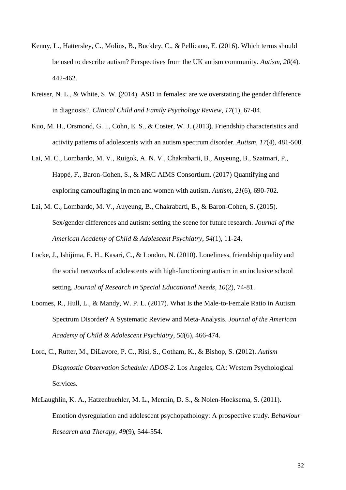- Kenny, L., Hattersley, C., Molins, B., Buckley, C., & Pellicano, E. (2016). Which terms should be used to describe autism? Perspectives from the UK autism community. *Autism, 20*(4). 442-462.
- Kreiser, N. L., & White, S. W. (2014). ASD in females: are we overstating the gender difference in diagnosis?. *Clinical Child and Family Psychology Review*, *17*(1), 67-84.
- Kuo, M. H., Orsmond, G. I., Cohn, E. S., & Coster, W. J. (2013). Friendship characteristics and activity patterns of adolescents with an autism spectrum disorder. *Autism*, *17*(4), 481-500.
- Lai, M. C., Lombardo, M. V., Ruigok, A. N. V., Chakrabarti, B., Auyeung, B., Szatmari, P., Happé, F., Baron-Cohen, S., & MRC AIMS Consortium. (2017) Quantifying and exploring camouflaging in men and women with autism. *Autism*, *21*(6), 690-702.
- Lai, M. C., Lombardo, M. V., Auyeung, B., Chakrabarti, B., & Baron-Cohen, S. (2015). Sex/gender differences and autism: setting the scene for future research. *Journal of the American Academy of Child & Adolescent Psychiatry*, *54*(1), 11-24.
- Locke, J., Ishijima, E. H., Kasari, C., & London, N. (2010). Loneliness, friendship quality and the social networks of adolescents with high‐functioning autism in an inclusive school setting. *Journal of Research in Special Educational Needs*, *10*(2), 74-81.
- Loomes, R., Hull, L., & Mandy, W. P. L. (2017). What Is the Male-to-Female Ratio in Autism Spectrum Disorder? A Systematic Review and Meta-Analysis. *Journal of the American Academy of Child & Adolescent Psychiatry*, *56*(6), 466-474.
- Lord, C., Rutter, M., DiLavore, P. C., Risi, S., Gotham, K., & Bishop, S. (2012). *Autism Diagnostic Observation Schedule: ADOS-2*. Los Angeles, CA: Western Psychological Services.
- McLaughlin, K. A., Hatzenbuehler, M. L., Mennin, D. S., & Nolen-Hoeksema, S. (2011). Emotion dysregulation and adolescent psychopathology: A prospective study. *Behaviour Research and Therapy*, *49*(9), 544-554.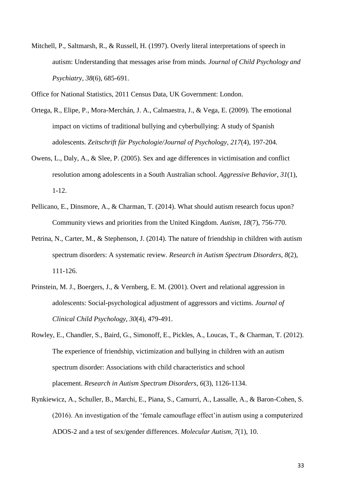Mitchell, P., Saltmarsh, R., & Russell, H. (1997). Overly literal interpretations of speech in autism: Understanding that messages arise from minds. *Journal of Child Psychology and Psychiatry*, *38*(6), 685-691.

Office for National Statistics, 2011 Census Data, UK Government: London.

- Ortega, R., Elipe, P., Mora-Merchán, J. A., Calmaestra, J., & Vega, E. (2009). The emotional impact on victims of traditional bullying and cyberbullying: A study of Spanish adolescents. *Zeitschrift für Psychologie/Journal of Psychology*, *217*(4), 197-204.
- Owens, L., Daly, A., & Slee, P. (2005). Sex and age differences in victimisation and conflict resolution among adolescents in a South Australian school. *Aggressive Behavior*, *31*(1), 1-12.
- Pellicano, E., Dinsmore, A., & Charman, T. (2014). What should autism research focus upon? Community views and priorities from the United Kingdom. *Autism*, *18*(7), 756-770.
- Petrina, N., Carter, M., & Stephenson, J. (2014). The nature of friendship in children with autism spectrum disorders: A systematic review. *Research in Autism Spectrum Disorders*, *8*(2), 111-126.
- Prinstein, M. J., Boergers, J., & Vernberg, E. M. (2001). Overt and relational aggression in adolescents: Social-psychological adjustment of aggressors and victims. *Journal of Clinical Child Psychology*, *30*(4), 479-491.
- Rowley, E., Chandler, S., Baird, G., Simonoff, E., Pickles, A., Loucas, T., & Charman, T. (2012). The experience of friendship, victimization and bullying in children with an autism spectrum disorder: Associations with child characteristics and school placement. *Research in Autism Spectrum Disorders*, *6*(3), 1126-1134.
- Rynkiewicz, A., Schuller, B., Marchi, E., Piana, S., Camurri, A., Lassalle, A., & Baron-Cohen, S. (2016). An investigation of the 'female camouflage effect'in autism using a computerized ADOS-2 and a test of sex/gender differences. *Molecular Autism*, *7*(1), 10.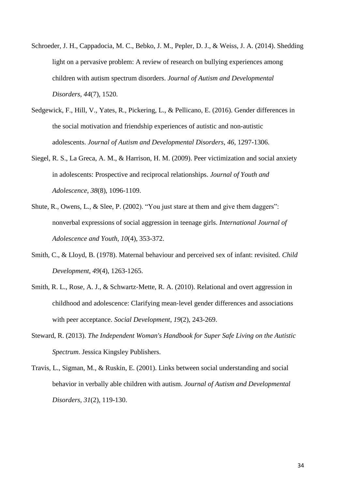- Schroeder, J. H., Cappadocia, M. C., Bebko, J. M., Pepler, D. J., & Weiss, J. A. (2014). Shedding light on a pervasive problem: A review of research on bullying experiences among children with autism spectrum disorders. *Journal of Autism and Developmental Disorders*, *44*(7), 1520.
- Sedgewick, F., Hill, V., Yates, R., Pickering, L., & Pellicano, E. (2016). Gender differences in the social motivation and friendship experiences of autistic and non-autistic adolescents. *Journal of Autism and Developmental Disorders*, *46*, 1297-1306.
- Siegel, R. S., La Greca, A. M., & Harrison, H. M. (2009). Peer victimization and social anxiety in adolescents: Prospective and reciprocal relationships. *Journal of Youth and Adolescence*, *38*(8), 1096-1109.
- Shute, R., Owens, L., & Slee, P. (2002). "You just stare at them and give them daggers": nonverbal expressions of social aggression in teenage girls. *International Journal of Adolescence and Youth, 10*(4), 353-372.
- Smith, C., & Lloyd, B. (1978). Maternal behaviour and perceived sex of infant: revisited. *Child Development, 49*(4), 1263-1265.
- Smith, R. L., Rose, A. J., & Schwartz-Mette, R. A. (2010). Relational and overt aggression in childhood and adolescence: Clarifying mean‐level gender differences and associations with peer acceptance. *Social Development*, *19*(2), 243-269.
- Steward, R. (2013). *The Independent Woman's Handbook for Super Safe Living on the Autistic Spectrum*. Jessica Kingsley Publishers.
- Travis, L., Sigman, M., & Ruskin, E. (2001). Links between social understanding and social behavior in verbally able children with autism. *Journal of Autism and Developmental Disorders*, *31*(2), 119-130.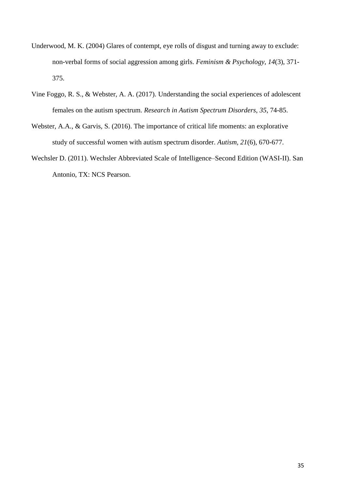- Underwood, M. K. (2004) Glares of contempt, eye rolls of disgust and turning away to exclude: non-verbal forms of social aggression among girls. *Feminism & Psychology, 14*(3), 371- 375.
- Vine Foggo, R. S., & Webster, A. A. (2017). Understanding the social experiences of adolescent females on the autism spectrum. *Research in Autism Spectrum Disorders, 35*, 74-85.
- Webster, A.A., & Garvis, S. (2016). The importance of critical life moments: an explorative study of successful women with autism spectrum disorder. *Autism, 21*(6), 670-677.
- Wechsler D. (2011). Wechsler Abbreviated Scale of Intelligence–Second Edition (WASI-II). San Antonio, TX: NCS Pearson.